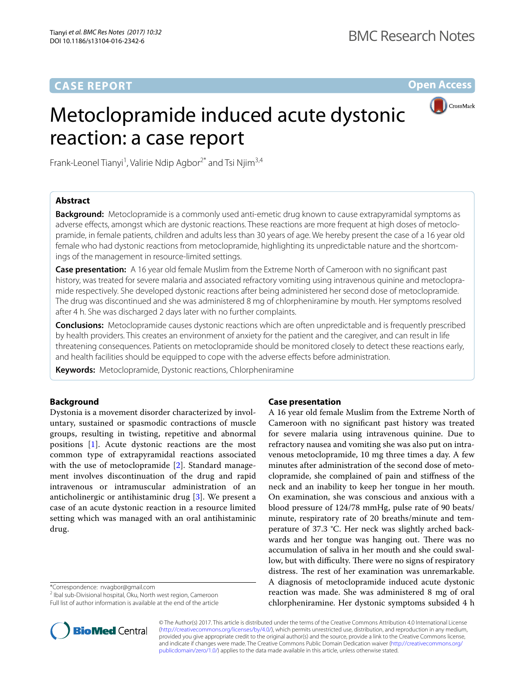# **CASE REPORT**

**Open Access**

# Metoclopramide induced acute dystonic reaction: a case report



Frank-Leonel Tianyi<sup>1</sup>, Valirie Ndip Agbor<sup>2\*</sup> and Tsi Njim<sup>3,4</sup>

# **Abstract**

**Background:** Metoclopramide is a commonly used anti-emetic drug known to cause extrapyramidal symptoms as adverse effects, amongst which are dystonic reactions. These reactions are more frequent at high doses of metoclopramide, in female patients, children and adults less than 30 years of age. We hereby present the case of a 16 year old female who had dystonic reactions from metoclopramide, highlighting its unpredictable nature and the shortcomings of the management in resource-limited settings.

**Case presentation:** A 16 year old female Muslim from the Extreme North of Cameroon with no significant past history, was treated for severe malaria and associated refractory vomiting using intravenous quinine and metoclopramide respectively. She developed dystonic reactions after being administered her second dose of metoclopramide. The drug was discontinued and she was administered 8 mg of chlorpheniramine by mouth. Her symptoms resolved after 4 h. She was discharged 2 days later with no further complaints.

**Conclusions:** Metoclopramide causes dystonic reactions which are often unpredictable and is frequently prescribed by health providers. This creates an environment of anxiety for the patient and the caregiver, and can result in life threatening consequences. Patients on metoclopramide should be monitored closely to detect these reactions early, and health facilities should be equipped to cope with the adverse effects before administration.

**Keywords:** Metoclopramide, Dystonic reactions, Chlorpheniramine

# **Background**

Dystonia is a movement disorder characterized by involuntary, sustained or spasmodic contractions of muscle groups, resulting in twisting, repetitive and abnormal positions [\[1](#page-2-0)]. Acute dystonic reactions are the most common type of extrapyramidal reactions associated with the use of metoclopramide [[2\]](#page-2-1). Standard management involves discontinuation of the drug and rapid intravenous or intramuscular administration of an anticholinergic or antihistaminic drug [[3\]](#page-2-2). We present a case of an acute dystonic reaction in a resource limited setting which was managed with an oral antihistaminic drug.

<sup>2</sup> Ibal sub-Divisional hospital, Oku, North west region, Cameroon

Full list of author information is available at the end of the article

# **Case presentation**

A 16 year old female Muslim from the Extreme North of Cameroon with no significant past history was treated for severe malaria using intravenous quinine. Due to refractory nausea and vomiting she was also put on intravenous metoclopramide, 10 mg three times a day. A few minutes after administration of the second dose of metoclopramide, she complained of pain and stiffness of the neck and an inability to keep her tongue in her mouth. On examination, she was conscious and anxious with a blood pressure of 124/78 mmHg, pulse rate of 90 beats/ minute, respiratory rate of 20 breaths/minute and temperature of 37.3 °C. Her neck was slightly arched backwards and her tongue was hanging out. There was no accumulation of saliva in her mouth and she could swallow, but with difficulty. There were no signs of respiratory distress. The rest of her examination was unremarkable. A diagnosis of metoclopramide induced acute dystonic reaction was made. She was administered 8 mg of oral chlorpheniramine. Her dystonic symptoms subsided 4 h



© The Author(s) 2017. This article is distributed under the terms of the Creative Commons Attribution 4.0 International License [\(http://creativecommons.org/licenses/by/4.0/\)](http://creativecommons.org/licenses/by/4.0/), which permits unrestricted use, distribution, and reproduction in any medium, provided you give appropriate credit to the original author(s) and the source, provide a link to the Creative Commons license, and indicate if changes were made. The Creative Commons Public Domain Dedication waiver ([http://creativecommons.org/](http://creativecommons.org/publicdomain/zero/1.0/) [publicdomain/zero/1.0/](http://creativecommons.org/publicdomain/zero/1.0/)) applies to the data made available in this article, unless otherwise stated.

<sup>\*</sup>Correspondence: nvagbor@gmail.com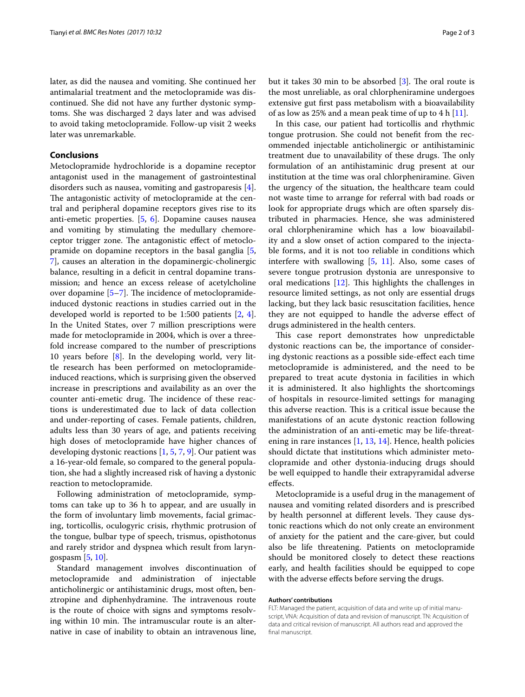later, as did the nausea and vomiting. She continued her antimalarial treatment and the metoclopramide was discontinued. She did not have any further dystonic symptoms. She was discharged 2 days later and was advised to avoid taking metoclopramide. Follow-up visit 2 weeks later was unremarkable.

## **Conclusions**

Metoclopramide hydrochloride is a dopamine receptor antagonist used in the management of gastrointestinal disorders such as nausea, vomiting and gastroparesis [\[4](#page-2-3)]. The antagonistic activity of metoclopramide at the central and peripheral dopamine receptors gives rise to its anti-emetic properties. [\[5](#page-2-4), [6](#page-2-5)]. Dopamine causes nausea and vomiting by stimulating the medullary chemoreceptor trigger zone. The antagonistic effect of metoclopramide on dopamine receptors in the basal ganglia [\[5](#page-2-4), [7\]](#page-2-6), causes an alteration in the dopaminergic-cholinergic balance, resulting in a deficit in central dopamine transmission; and hence an excess release of acetylcholine over dopamine [\[5](#page-2-4)[–7](#page-2-6)]. The incidence of metoclopramideinduced dystonic reactions in studies carried out in the developed world is reported to be 1:500 patients [\[2](#page-2-1), [4](#page-2-3)]. In the United States, over 7 million prescriptions were made for metoclopramide in 2004, which is over a threefold increase compared to the number of prescriptions 10 years before [[8\]](#page-2-7). In the developing world, very little research has been performed on metoclopramideinduced reactions, which is surprising given the observed increase in prescriptions and availability as an over the counter anti-emetic drug. The incidence of these reactions is underestimated due to lack of data collection and under-reporting of cases. Female patients, children, adults less than 30 years of age, and patients receiving high doses of metoclopramide have higher chances of developing dystonic reactions [[1](#page-2-0), [5](#page-2-4), [7,](#page-2-6) [9](#page-2-8)]. Our patient was a 16-year-old female, so compared to the general population, she had a slightly increased risk of having a dystonic reaction to metoclopramide.

Following administration of metoclopramide, symptoms can take up to 36 h to appear, and are usually in the form of involuntary limb movements, facial grimacing, torticollis, oculogyric crisis, rhythmic protrusion of the tongue, bulbar type of speech, trismus, opisthotonus and rarely stridor and dyspnea which result from laryngospasm [[5,](#page-2-4) [10](#page-2-9)].

Standard management involves discontinuation of metoclopramide and administration of injectable anticholinergic or antihistaminic drugs, most often, benztropine and diphenhydramine. The intravenous route is the route of choice with signs and symptoms resolving within 10 min. The intramuscular route is an alternative in case of inability to obtain an intravenous line, but it takes 30 min to be absorbed [[3\]](#page-2-2). The oral route is the most unreliable, as oral chlorpheniramine undergoes extensive gut first pass metabolism with a bioavailability of as low as 25% and a mean peak time of up to 4 h  $[11]$  $[11]$ .

In this case, our patient had torticollis and rhythmic tongue protrusion. She could not benefit from the recommended injectable anticholinergic or antihistaminic treatment due to unavailability of these drugs. The only formulation of an antihistaminic drug present at our institution at the time was oral chlorpheniramine. Given the urgency of the situation, the healthcare team could not waste time to arrange for referral with bad roads or look for appropriate drugs which are often sparsely distributed in pharmacies. Hence, she was administered oral chlorpheniramine which has a low bioavailability and a slow onset of action compared to the injectable forms, and it is not too reliable in conditions which interfere with swallowing [[5,](#page-2-4) [11](#page-2-10)]. Also, some cases of severe tongue protrusion dystonia are unresponsive to oral medications [[12\]](#page-2-11). This highlights the challenges in resource limited settings, as not only are essential drugs lacking, but they lack basic resuscitation facilities, hence they are not equipped to handle the adverse effect of drugs administered in the health centers.

This case report demonstrates how unpredictable dystonic reactions can be, the importance of considering dystonic reactions as a possible side-effect each time metoclopramide is administered, and the need to be prepared to treat acute dystonia in facilities in which it is administered. It also highlights the shortcomings of hospitals in resource-limited settings for managing this adverse reaction. This is a critical issue because the manifestations of an acute dystonic reaction following the administration of an anti-emetic may be life-threatening in rare instances [\[1](#page-2-0), [13](#page-2-12), [14](#page-2-13)]. Hence, health policies should dictate that institutions which administer metoclopramide and other dystonia-inducing drugs should be well equipped to handle their extrapyramidal adverse effects.

Metoclopramide is a useful drug in the management of nausea and vomiting related disorders and is prescribed by health personnel at different levels. They cause dystonic reactions which do not only create an environment of anxiety for the patient and the care-giver, but could also be life threatening. Patients on metoclopramide should be monitored closely to detect these reactions early, and health facilities should be equipped to cope with the adverse effects before serving the drugs.

#### **Authors' contributions**

FLT: Managed the patient, acquisition of data and write up of initial manuscript, VNA: Acquisition of data and revision of manuscript. TN: Acquisition of data and critical revision of manuscript. All authors read and approved the final manuscript.